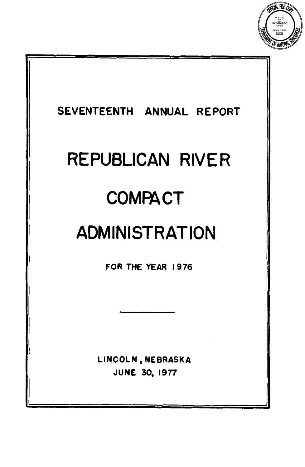

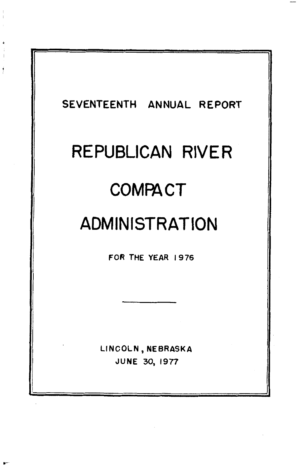

j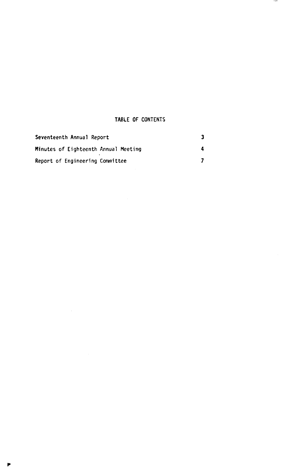# **TABLE OF CONTENTS**

 $\overline{\phantom{a}}$ 

| Seventeenth Annual Report            |  |
|--------------------------------------|--|
| Minutes of Eighteenth Annual Meeting |  |
| Report of Engineering Committee      |  |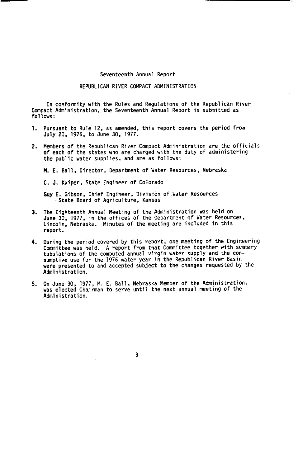#### **Seventeenth Annual Report**

# **REPUBLICAN RIVER COMPACT ADMINISTRATION**

**In conformity with the Rules and Regulations of the Republican River Compact Administration, the Seventeenth Annual Report is submitted as follows** :

- **1. Pursuant to Rule 12, as amended, this report covers the period from July 20, 1976, to June 30, 1977.**
- **Members** of **the Republican River Compact Administration are the officials 2. of each of the states who are charged with the duty of administering the public water supplies, and are as follows:**

**M. E. Ball, Director. Department** of **Water Resources, Nebraska** 

**C. J. Kuiper. State Engineer of Colorado** 

**Guy E. Gibson, Chief Engineer, Division of Water Resources State Board of Agriculture, Kansas** 

- The Eighteenth Annual Meeting of the Administration was held on<br>June 30, 1977, in the offices of the Department of Water Resources, **Lincoln, Nebraska. Minutes of the meeting are included in this report. 3.**
- **During the period covered by this report, one meeting of the Engineering 4. COmmittee was held. A report from that Committee together with summary**  tabulations of the computed annual virgin water supply and the con-<br>sumptive use for the 1976 water year in the Republican River Basin<br>were presented to and accepted subject to the changes requested by the **Administration.**
- **On June 30, 1977, M. E. Ball, Nebraska Member of the Administration, was elected Chairman to serve until the next annual meeting of the Administration. 5.**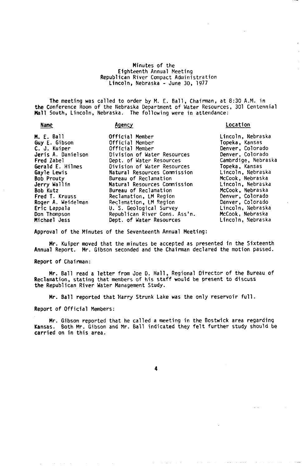## **Minutes of the Eighteenth Annual Meeting**  Lincoln, Nebraska - June 30, 1977 **Republican River Compact Administration**

**The meeting was called to order by M. E. Ball, Chairman, at 8:30 A.M. in the Conference Room of the Nebraska Department of Water Resources, 301 Centennial Mall South, Lincoln, Nebraska. The following were in attendance:** 

| Name                                                                                                                                                                                                                                               | Agency                                                                                                                                                                                                                                                                                                                                                                            | Location                                                                                                                                                                                                                                                                                |
|----------------------------------------------------------------------------------------------------------------------------------------------------------------------------------------------------------------------------------------------------|-----------------------------------------------------------------------------------------------------------------------------------------------------------------------------------------------------------------------------------------------------------------------------------------------------------------------------------------------------------------------------------|-----------------------------------------------------------------------------------------------------------------------------------------------------------------------------------------------------------------------------------------------------------------------------------------|
| <b>M. E. Ball</b><br>Guy E. Gibson<br>C. J. Kuiper<br>Jeris A. Danielson<br>Fred Zabel<br>Gerald E. Hilmes<br>Gayle Lewis<br><b>Bob Prouty</b><br>Jerry Wallin<br>Bob Kutz<br>Fred T. Krauss<br>Roger A. Weidelman<br>Eric Lappala<br>Don Thompson | Official Member<br>Official Member<br>Official Member<br>Division of Water Resources<br>Dept. of Water Resources<br>Division of Water Resources<br>Natural Resources Commission<br>Bureau of Reclamation<br>Natural Resources Commission<br>Bureau of Reclamation<br>Reclamation, LM Region<br>Reclamation, LM Region<br>U. S. Geological Survey<br>Republican River Cons. Ass'n. | Lincoln, Nebraska<br>Topeka, Kansas<br>Denver, Colorado<br>Denver, Colorado<br>Cambrdige, Nebraska<br>Topeka, Kansas<br>Lincoln, Nebraska<br>McCook, Nebraska<br>Lincoln, Nebraska<br>McCook, Nebraska<br>Denver, Colorado<br>Denver, Colorado<br>Lincoln, Nebraska<br>McCook, Nebraska |
| Michael Jess                                                                                                                                                                                                                                       | Dept. of Water Resources                                                                                                                                                                                                                                                                                                                                                          | Lincoln. Nebraska                                                                                                                                                                                                                                                                       |

**Approval of the Minutes of the Seventeenth Annual Meeting:** 

**Mr. Kuiper moved that the minutes be accepted as presented in the Sixteenth Annual Report. Mr. Gibson seconded and the Chairman declared the motion passed.** 

**Report** of **Chairman:** 

**Reclamation, stating that members of his staff would be present to discuss**  *the* **Republican River Water Management Study. Mr. Ball read a letter from Joe D. Hall, Regional Director of the Bureau of** 

**Mr. Ball reported that Harry Strunk Lake was the only reservoir full.** 

**Report of Official Members:** 

**Kansas. Both Mr. Gibson and Mr. Ball indicated they felt further study should be carried on in this area. Mr. Gibson reported that he called a meeting in the Bostwick area regarding**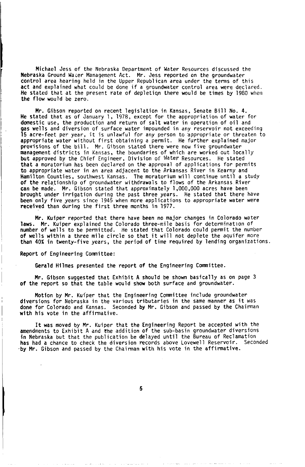Michael Jess of the Nebraska Department of Water Resources discussed the Nebraska Ground Water Management Act. Mr. Jess reported on the groundwater<br>control area hearing held in the Upper Republican area under the terms of this<br>act and explained what could be done if a groundwater control area w He stated that at the present rate of depletion there would be times by 1980 when the flow would be zero.

Mr. Gibson reported on recent legislation in Kansas, Senate Bill No. 4. He stated that as of January 1, 1978, except for the appropriation of water for domestic use, the production and return of salt water in operation of oil and gas wells and diversion of surface water impounded in any reservoir not exceeding 15 acre-feet per year, it is unlawful for any person to appropriate or threaten to appropriate water without first obtaining a permit. He further explained major provisions of the bill. Mr. Gibson stated there were now five groundwater<br>management districts in Kansas, the boundaries of which are worked out locally<br>but approved by the Chief Engineer, Division of Water Resources. He s to appropriate water in an area adjacent to the Arkansas River in Kearny and Hamilton Counties, southwest Kansas. The moratorium will continue until a study of the relationship of groundwater withdrawals to flows of the Arkansas River can be made. Mr. Gibson stated that approximately 1,000,000 acres have been brought under irrigation during the past three years. He stated that there have been only five years since 1945 when more applications to appropriate water were received than during the first three months in 1977. He stated

Mr. Kuiper reported that there have been no major changes in Colorado water laws. Mr. Kuiper explained the Colorado three-mile basis for determination of number of wells to be permitted. He stated that Colorado could permit the number of wells within a three mile circle so that it will not deplete the aquifer more than 40% in twenty-five years, the period of time required by lending organizations.

Report of Engineering Committee:

Gerald Hilmes presented the report of the Engineering Committee.

Mr. Gibson suggested that Exhibit A should be shown basically as on page **3**  of the report so that the table would show both surface and groundwater.

Motion by Mr. Kuiper that the Engineering Committee include groundwater diversions for Nebraska in the various tributaries in the same manner as it was done for Colorado and Kansas. Seconded by Mr. Gibson and passed by the Chairman with his vote in the affirmative.

It was moved by Mr. Kuiper that the Engineering Report be accepted with the amendments to Exhibit A and the addition of the sub-basin groundwater diversions in Nebraska but that the publication be delayed until the Bureau of Reclamation has had a chance to check the diversion records above Lovewell Reservoir. Seconded by Mr. Gibson and passed by the Chairman with his vote in the affirmative.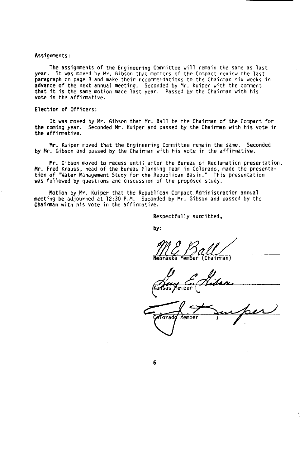## Assignments:

year. It was moved by Mr. Gibson that members of the Compact review the last paragraph on page 8 and make their recommendations to the Chairman six weeks in advance of the next annual meeting. Seconded by **Mr.** Kuiper with the comment that it is the same motion made last year. Passed by the Chairman with his vote in the affirmative. The assignments of the Engineering Committee will remain the same as last

# Election of Officers:

It was moved by Mr. Gibson that Mr. Ball be the Chairman of the Compact for the coming year. Seconded Mr. Kuiper and passed by the Chairman with his vote in the affirmative.

by Mr. Gibson and passed by the Chairman with his vote in the affirmative. Mr. Kuiper moved that the Engineering Committee remain the same. Seconded

Mr. Fred Krauss, head of the Bureau Planning Team in Colorado, made the presentation of "Water Management Study **for** the Republican Basin." This presentation was followed by questions and discussion of the proposed study. Mr. Gibson moved to recess until after the Bureau of Reclamation presentation.

meeting be adjourned at 12:30 P.M. Seconded by Mr. Gibson and passed by the Chairman with his vote in the affirmative. Motion by Mr. Kuiper that the Republican Compact Administration annual

Respectfully submitted,

by :

Nebraska Member (Chairman)

Kansas Member

Torad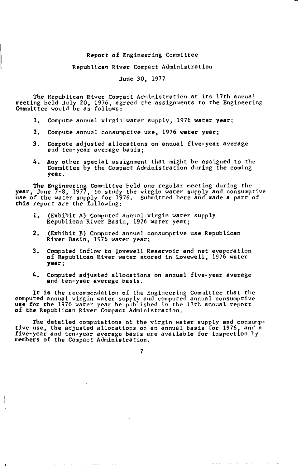# Report of Engineering Committee

#### Republican River Compact Administration

# June 30, 1977

The Republican River Compact Administration at its 17th annual meeting held July **20,** 1976, agreed the assignments to the Engineering Committee would be *as* follows:

- **1.** Compute annual virgin water supply, 1976 water year;
- **2.** Compute annual consumptive use, 1976 water year;
- **3.** Compute adjusted allocations on annual five-year average and ten-year average basis;
- *4.*  Any other special assignment that might be assigned to the Committee by the Compact Administration during the coming year.

The Engineering Committee held one regular meeting during the year, June 7-8, 1977, to study the virgin water supply and consumptive use of the water supply for 1976. Submitted here and made a part of this report are the following:

- **1.** (Exhibit A) Computed annual virgin water supply Republican River Basin, 1976 water year;
- **2.** (Exhibit B) Computed annual consumptive use Republican River Basin, 1976 water year;
- 3. Computed inflow to Lovewell Reservoir and net evaporation **of** Republican River water stored in Lovewell, 1976 water year;
- Computed adjusted allocations **on** annual five-year average and ten-year average basis. *4.*

It is the recommendation of the Engineering Committee that the<br>computed annual virgin water supply and computed annual consumptive<br>use for the 1976 water year be published in the 17th annual report<br>of the Republican River

tive use, the adjusted allocations **on** an annual basis for 1976, and a five-year and ten-year average basis are available for inspection by members of the Compact Administration. The detailed computations of the virgin water supply and consump-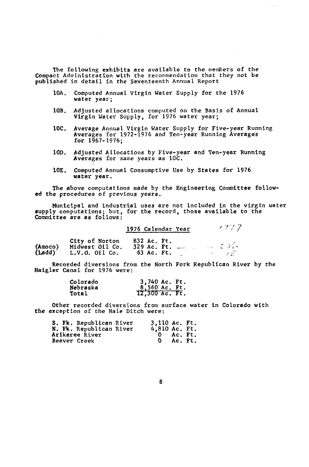The following exhibits are available to the members of the Compact Administration with the recommendation that they not be published in detail **in** the Seventeenth Annual Report

- 10A. Computed Annual Virgin Water Supply for the **1976**  water year;
- 10B. Adjusted allocations computed on the Basis of Annual Virgin Water Supply, for **1976** water year;
- **10C.** Average Annual Virgin Water Supply for Five-year Running Averages for **1972-1976** and Ten-year Running Averages for **1967- 1976;**
- Adjusted Allocations **by** Five-year and Ten-year Running Averages for same years as 10C. **10D.**
- water year. 10E. Computed Annual Consumptive Use by States for **1976**

The above computations made by the Engineering Committee follow**ed** the procedures of previous years.

Municipal and industrial uses are not included **in** the virgin water supply computations; but, for the record, those available to the Committee are *as* follows:

1976 Calendar Year  $1977$  7

**City of** Norton **832** Ac. Ft.

|                   | <b>LILY OF NOLTON</b> | DJL AC. PL.       |  |       |
|-------------------|-----------------------|-------------------|--|-------|
| (Amoco)<br>(Ladd) | Midwest Oil Co.       | $329$ Ac. Ft. $-$ |  | - ೧೮೫ |
|                   | $L.V.0.$ Oil Co.      | 63 Ac. Ft.        |  | 7 J . |

Recorded diversions **from** the North Fork Republican River by the Haigler Canal for 1976 were:

| Colorado | 3,740 Ac. Ft.  |
|----------|----------------|
| Nebraska | 8,560 Ac. Ft.  |
| Total    | 12,300 Ac. Ft. |

Other recorded diversions from surface water in Colorado with the exception of the Hale Ditch were:

|  | S. Fk. Republican River | $3,110$ Ac. Ft. |             |  |
|--|-------------------------|-----------------|-------------|--|
|  | N. Fk. Republican River | 4,810 Ac. Ft.   |             |  |
|  | <b>Arikaree River</b>   |                 | $0$ Ac. Ft. |  |
|  | Beaver Creek            |                 | Ac. Ft.     |  |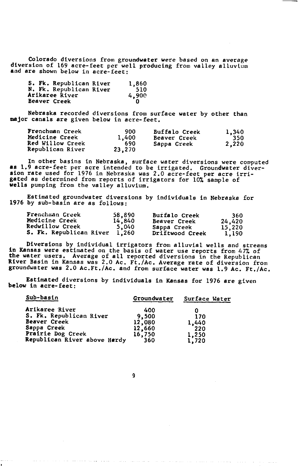Colorado diversions from groundwater were based on an average diversion of 169 acre-feet per well producing from valley alluvium and are shown below in acre-feet:

| S. Fk. Republican River | 1,860 |
|-------------------------|-------|
| N. Fk. Republican River | 510   |
| Arikaree River          | 4,900 |
| Beaver Creek            |       |

Nebraska recorded diversions from surface water by other than major canals are given below in acre-feet.

| Frenchman Creek       | 900    | <b>Buffalo Creek</b> | 1,340 |
|-----------------------|--------|----------------------|-------|
| <b>Medicine Creek</b> | 1,400  | Beaver Creek         | 350   |
| Red Willow Creek      | 690    | Sappa Creek          | 2,220 |
| Republican River      | 23,270 |                      |       |

**In** other basins in Nebraska, surface water diversions were computed **as 1.9 acre-feet per acre intended to be irrigated. Groundwater divation rate used for 1976 in Nebraska was 2.0 acre-feet per acre irri-<br>gated as determined from reports of irrigators for 10% sample of** wells pumping from the valley alluvium. Groundwater diver-

Estimated groundwater diversions by individuals in Nebraska for **1976** by sub-basin are as follows:

| Frenchman Creek         | 58,890 | Buifalo Creek       | 360    |
|-------------------------|--------|---------------------|--------|
| <b>Medicine Creek</b>   | 14,840 | <b>Beaver Creek</b> | 24,420 |
| <b>Redwillow Creek</b>  | 5,040  | Sappa Creek         | 15,220 |
| S. Fk. Republican River | 1.260  | Driftwood Creek     | 1.190  |

Diversions by individual irrigators from alluvial wells and streams **in** Kansas were estimated on the basis of water use reports from 47% of the water users. Average of all reported diversions in the Republican River Basin **in** Kansas was 2.0 Ac. Ft./Ac. Average rate of diversion from groundwater was 2.0 Ac.Ft./Ac. and from surface water was 1.9 Ac. Ft./Ac.

Estimated diversions by individuals in Kansas for 1976 are given below in acre-feet:

| Sub-basin                    | Groundwater | Surface Water |
|------------------------------|-------------|---------------|
| Arikaree River               | 400         |               |
| S. Fk. Republican River      | 9,500       | 170           |
| Beaver Creek                 | 12,080      | 1,440         |
| Sappa Creek                  | 12,660      | 220           |
| Prairie Dog Creek            | 16,750      | 1,250         |
| Republican River above Hardy | 360         | 1,720         |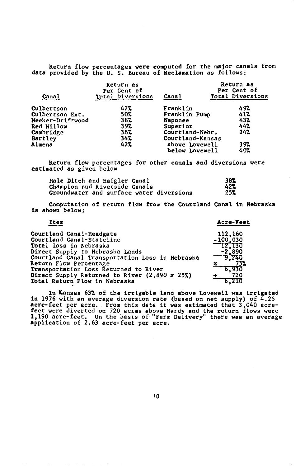Return flow percentages were computed for the major canals from data provided by the **U. S.** Bureau of Reclamation as follows:

| Canal            | Return as<br>Per Cent of<br>Total Diversions | Canal            | Return as<br>Per Cent of<br>Total Diversions |
|------------------|----------------------------------------------|------------------|----------------------------------------------|
| Culbertson       | 42%                                          | Franklin         | 497                                          |
| Culbertson Ext.  | 50%                                          | Franklin Pump    | 41%                                          |
| Meeker-Driftwood | 38%                                          | Naponee          | 43%                                          |
| Red Willow       | 39%                                          | Superior         | 44%                                          |
| Cambridge        | 38%                                          | Courtland-Nebr.  | 24%                                          |
| Bartley          | 347                                          | Courtland-Kansas |                                              |
| Almena           | 42%                                          | above Lovewell   | 397                                          |
|                  |                                              | below Lovewell   | 40%                                          |

Return flow percentages for other canals and diversions were estimated as given below

| Hale Ditch and Haigler Canal             | 387 |
|------------------------------------------|-----|
| <b>Champion and Riverside Canals</b>     | 427 |
| Groundwater and surface water diversions | 25% |

Computation of return flow from the Courtland Canal **in** Nebraska **is** shown below:

| Item                                            | Acre-Feet  |
|-------------------------------------------------|------------|
| Courtland Canal-Headgate                        | 112,160    |
| Courtland Canal-Stateline                       | $-100,030$ |
| Total loss in Nebraska                          | T2,130     |
| Direct Supply to Nebraska Lands                 | $-2,890$   |
| Courtland Canal Transportation Loss in Nebraska | -9.240     |
| Return Flow Percentage                          | 752        |
| Transportation Loss Returned to River           | 6,930      |
| Direct Supply Returned to River (2,890 x 25%)   | 720        |
| Total Return Flow in Nebraska                   | 6.210      |

In Kansas 637, of the irrigable land above Lovewell was irrigated<br>in 1976 with an average diversion rate (based on net supply) of 4.25<br>acre-feet per acre. From this data it was estimated that 3,040 acre-<br>feet were diverte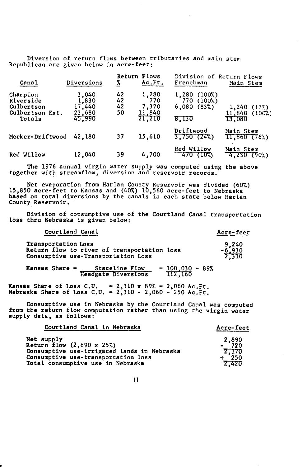Diversion of return flows between tributaries and main stem Republican are given below **in** acre-feet:

| Canal                                                            | Diversions                                   | 7.                   | Return Flows<br>Ac.Ft.                    | Division of Return Flows<br>Frenchman                          | Main Stem                                 |
|------------------------------------------------------------------|----------------------------------------------|----------------------|-------------------------------------------|----------------------------------------------------------------|-------------------------------------------|
| Champion<br>Riverside<br>Culbertson<br>Culbertson Ext.<br>Totals | 3,040<br>1,830<br>17,440<br>23,680<br>45,990 | 42<br>42<br>42<br>50 | 1,280<br>770<br>7,320<br>11,840<br>21,210 | 1,280<br>(100%)<br>(100%)<br>770<br>6,080<br>$(83\%)$<br>8,130 | (17%)<br>1,240<br>11,840 (100%)<br>13.080 |
| Meeker-Driftwood                                                 | 42,180                                       | 37                   | 15,610                                    | Driftwood<br>3.750(24%)                                        | Main Stem<br>$11,860$ $(76%)$             |
| Red Willow                                                       | 12,040                                       | 39                   | 4,700                                     | Red Willow<br>470 (10%)                                        | Main Stem<br>4,230 (90%)                  |

The *1976* annual virgin water supply was computed **using** the above together with streamflow, diversion and reservoir records.

Net evaporation from Harlan County Reservoir was divided (60%) 15,850 acre-feet to Kansas and *(40%) 10,560* acre-feet to Nebraska based **on** total diversions by the canals in each state below Harlan County Reservoir.

**loss** thru Nebraska **is** given below: Division of consumptive use of the Courtland Canal transportation

Courtland Canal **Acre-feet** 

| Transportation Loss<br>Return flow to river of transportation loss<br>Consumptive use-Transportation Loss | 9,240<br>$\frac{-6.930}{2.310}$ |
|-----------------------------------------------------------------------------------------------------------|---------------------------------|

Kansas Share = Stateline **Flow** 100,030 100,030 *89%*  Headgate Diversions **=** 112,160

Kansas Share of **Loss** C.U. = *2,310* **x 89%** = *2,060* Ac.Ft. Nebraska Share of **Loss** C.U. = *2,310 2,060* = *250* Ac.Ft.

from the return **flow** computation rather than **using** the virgin water supply data, as follows: Consumptive use **in** Nebraska by the Courtland Canal was computed

| Courtland Canal in Nebraska                                                                                                                                        | Acre-feet                                     |  |
|--------------------------------------------------------------------------------------------------------------------------------------------------------------------|-----------------------------------------------|--|
| Net supply<br>Return flow (2,890 x 25%)<br>Consumptive use-irrigated lands in Nebraska<br>Consumptive use-transportation loss<br>Total consumptive use in Nebraska | $2,890$<br>- 720<br>2.170<br>$+ 250$<br>2.420 |  |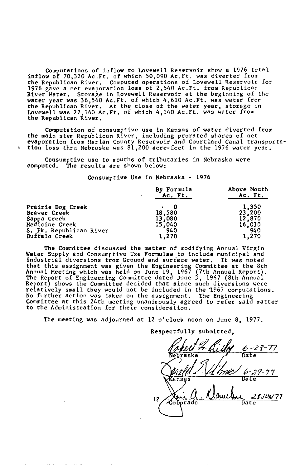Computations of inflow to Lovewell Reservoir show a 1976 total inflow of 70,320 Ac.Ft. of which 50,090 Ac.Ft. was diverted from the Republican River. Computed operations of Lovewell Reservoir for 1976 gave a net evaporation loss of 2,540 Ac.Ft. from Republican River Water. Storage in Lovewell Reservoir at the beginning of the water year was 36,560 Ac.Ft. of which 4,610 Ac.Ft. was water from<br>the Republican River. At the close of the water year, storage in<br>Lovewell was 27,160 Ac.Ft. of which 4,140 Ac.Ft. was water from<br>the Republican River.

Computation of consumptive use in Kansas of water diverted from the main stem Republican River, including prorated shares of net<br>evaporation from Harlan County Reservoir and Courtland Canal transporta-<br>tion loss thru Nebraska was 81,200 acre-feet in the 1976 water year.

Consumptive use to mouths of tributaries in Nebraska were computed. The results are shown below:

 $\overline{\mathbf{z}}$ 

Consumptive Use in Nebraska - 1976

| Consumptive ose in Neplaska - 1970 |                                             |
|------------------------------------|---------------------------------------------|
| By Formula<br>Ac. Ft.              | Above Mouth<br>Ac. Ft.                      |
|                                    | 1,350                                       |
|                                    | 23,200                                      |
| 13,080                             | 12,870                                      |
|                                    | 16,030                                      |
| 940                                | 940                                         |
| 1,270                              | 1,270                                       |
|                                    | 18,580<br>15,040<br>S. Fk. Republican River |

The Committee discussed the matter of modifying Annual Virgin Water Supply and Consumptive Use Formulae to include municipal and<br>industrial diversions from Ground and surface water. It was noted industrial diversions from Ground and surface water. that this assignment was given the Engineering Committee at the 8th Annual Meeting which was **held** on June 19, 1967 (7th Annual Report). The Report of Engineering Committee dated June 3, 1967 (8th Annua1<br>Report) shows the Committee decided that since such diversions were<br>relatively small they would not be included in the 1967 computations.<br>No further action **to** the Administration for their consideration.

The meeting was adjourned at 12 o'clock noon on June 8, 1977.

6-23-77 **Nebraska Date**  Wansas Date Personado Date

Respectfully submitted,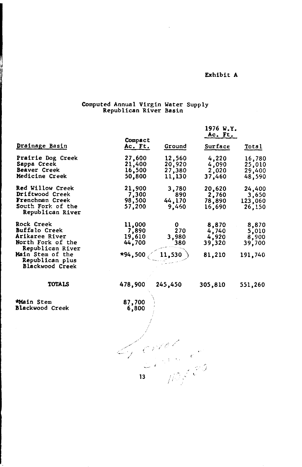# Exhibit A

# Computed Annual Virgin Water Supply Republican River Basin

 $\bar{z}$ 

|                                                                                                                                                                |                                                  |                                      | 1976 W.Y.<br>Ac. Ft.                        |                                              |
|----------------------------------------------------------------------------------------------------------------------------------------------------------------|--------------------------------------------------|--------------------------------------|---------------------------------------------|----------------------------------------------|
| Drainage Basin                                                                                                                                                 | Compact<br>Ac. Ft.                               | Ground                               | Surface                                     | Total                                        |
| Prairie Dog Creek<br>Sappa Creek<br>Beaver Creek<br>Medicine Creek                                                                                             | 27,600<br>21,400<br>16,500<br>50,800             | 12,560<br>20,920<br>27,380<br>11,130 | 4,220<br>4,090<br>2,020<br>37,460           | 16,780<br>25,010<br>29,400<br>48,590         |
| Red Willow Creek<br>Driftwood Creek<br>Frenchman Creek<br>South Fork of the<br>Republican River                                                                | 21,900<br>7,300<br>98,500<br>57,200              | 3,780<br>890<br>44,170<br>9,460      | 20,620<br>2,760<br>78,890<br>16,690         | 24,400<br>3,650<br>123,060<br>26,150         |
| Rock Creek<br><b>Buffalo Creek</b><br>Arikaree River<br>North Fork of the<br>Republican River<br>Main Stem of the<br>Republican plus<br><b>Blackwood Creek</b> | 11,000<br>7,890<br>19,610<br>44,700<br>$*94,500$ | 0<br>270<br>3,980<br>380<br>11,530   | 8,870<br>4,740<br>4,920<br>39,320<br>81,210 | 8,870<br>5,010<br>8,900<br>39,700<br>191,740 |
| <b>TOTALS</b>                                                                                                                                                  | 478,900                                          | 245,450                              | 305,810                                     | 551,260                                      |
| *Main Stem<br><b>Blackwood Creek</b>                                                                                                                           | 87,700<br>6,800                                  |                                      |                                             |                                              |
|                                                                                                                                                                | 13                                               |                                      |                                             |                                              |